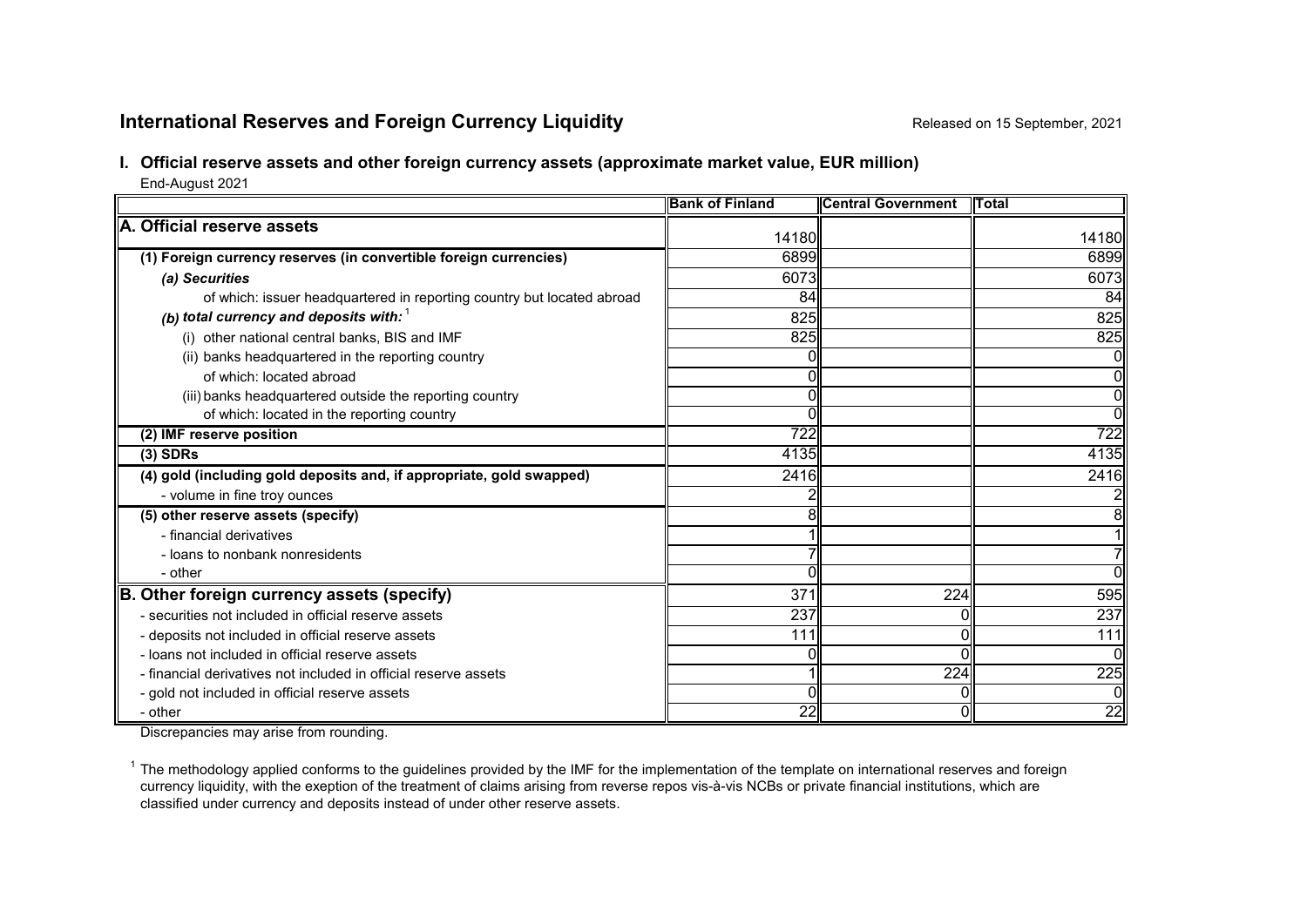# **International Reserves and Foreign Currency Liquidity Released on 15 September, 2021**

## **I. Official reserve assets and other foreign currency assets (approximate market value, EUR million)**

End-August 2021

|                                                                        | <b>Bank of Finland</b> | <b>Central Government</b> | <b>ITotal</b> |
|------------------------------------------------------------------------|------------------------|---------------------------|---------------|
| A. Official reserve assets                                             | 14180                  |                           | 14180         |
|                                                                        |                        |                           |               |
| (1) Foreign currency reserves (in convertible foreign currencies)      | 6899                   |                           | 6899          |
| (a) Securities                                                         | 6073                   |                           | 6073          |
| of which: issuer headquartered in reporting country but located abroad | 84                     |                           | 84            |
| (b) total currency and deposits with: $1$                              | 825                    |                           | 825           |
| (i) other national central banks, BIS and IMF                          | 825                    |                           | 825           |
| (ii) banks headquartered in the reporting country                      |                        |                           | Οl            |
| of which: located abroad                                               |                        |                           | Οl            |
| (iii) banks headquartered outside the reporting country                |                        |                           | 01            |
| of which: located in the reporting country                             |                        |                           | ᇭ             |
| (2) IMF reserve position                                               | 722                    |                           | 722           |
| $(3)$ SDRs                                                             | 4135                   |                           | 4135          |
| (4) gold (including gold deposits and, if appropriate, gold swapped)   | 2416                   |                           | 2416          |
| - volume in fine troy ounces                                           |                        |                           |               |
| (5) other reserve assets (specify)                                     | 8                      |                           | 81            |
| - financial derivatives                                                |                        |                           |               |
| - loans to nonbank nonresidents                                        |                        |                           | 7             |
| - other                                                                |                        |                           | ΩI            |
| B. Other foreign currency assets (specify)                             | 371                    | 224                       | 595           |
| - securities not included in official reserve assets                   | 237                    |                           | 237           |
| - deposits not included in official reserve assets                     | 111                    |                           | 111           |
| - loans not included in official reserve assets                        |                        |                           | 0II           |
| - financial derivatives not included in official reserve assets        |                        | 224                       | 225           |
| - gold not included in official reserve assets                         | 0                      |                           | Οl            |
| - other                                                                | 22                     |                           | 22            |

Discrepancies may arise from rounding.

 $1$  The methodology applied conforms to the guidelines provided by the IMF for the implementation of the template on international reserves and foreign currency liquidity, with the exeption of the treatment of claims arising from reverse repos vis-à-vis NCBs or private financial institutions, which are classified under currency and deposits instead of under other reserve assets.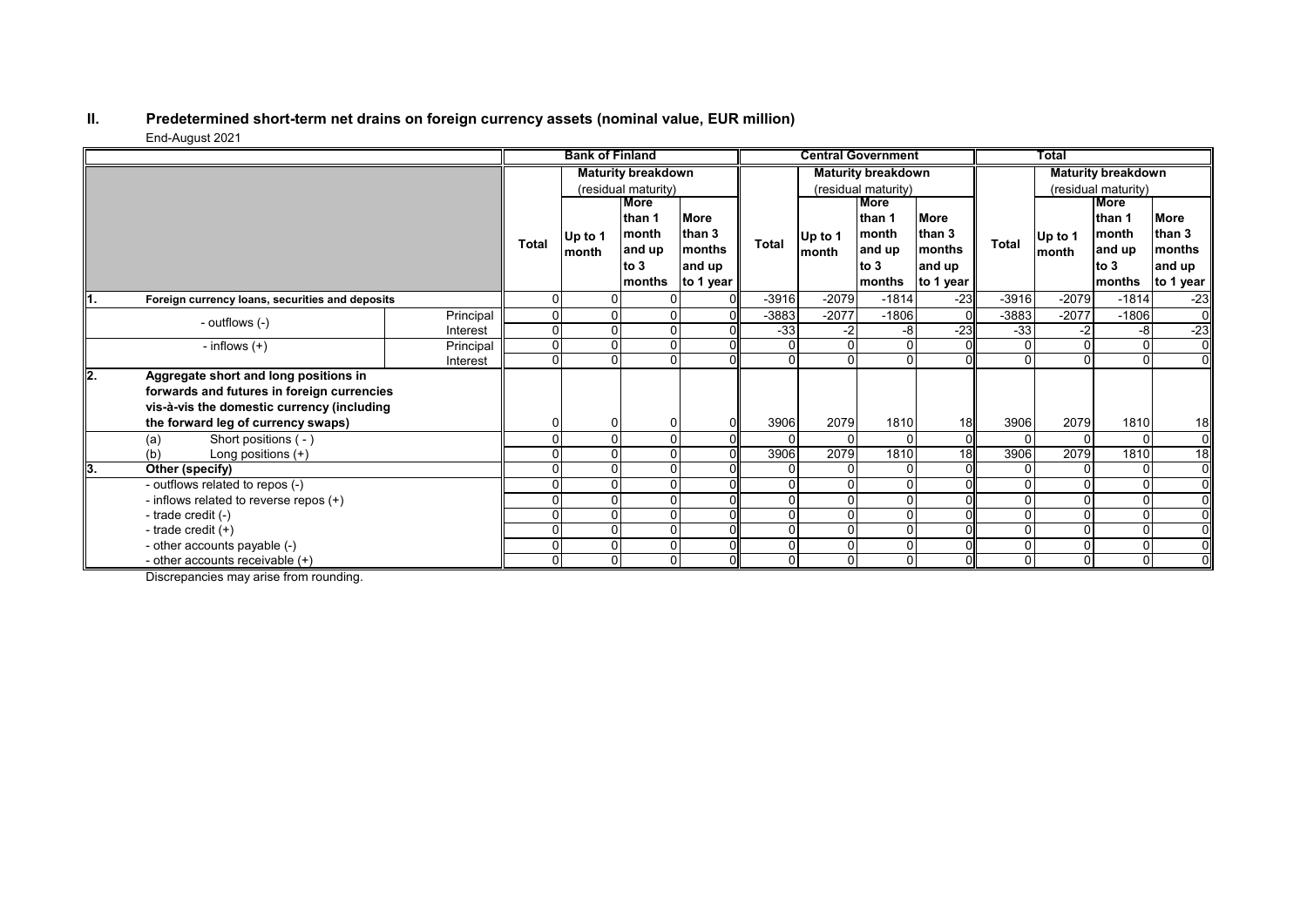#### **II. Predetermined short-term net drains on foreign currency assets (nominal value, EUR million)** End-August 2021

|      | $-$                                             |                           | <b>Bank of Finland</b> |       |         | <b>Central Government</b> |         |                 |                           | <b>Total</b>        |              |                |          |                |
|------|-------------------------------------------------|---------------------------|------------------------|-------|---------|---------------------------|---------|-----------------|---------------------------|---------------------|--------------|----------------|----------|----------------|
|      |                                                 | <b>Maturity breakdown</b> |                        |       |         | <b>Maturity breakdown</b> |         |                 | <b>Maturity breakdown</b> |                     |              |                |          |                |
|      |                                                 |                           | (residual maturity)    |       |         | (residual maturity)       |         |                 |                           | (residual maturity) |              |                |          |                |
|      |                                                 |                           |                        | More  |         |                           |         |                 | <b>More</b>               |                     |              |                | More     |                |
|      |                                                 |                           |                        |       | lthan 1 | <b>More</b>               |         |                 | than 1                    | <b>More</b>         |              |                | than 1   | <b>More</b>    |
|      |                                                 | <b>Total</b>              | Up to 1                | month | than 3  | <b>Total</b>              | Up to 1 | than 3<br>month |                           | <b>Total</b>        | Up to 1      | month          | than 3   |                |
|      |                                                 |                           |                        | month | and up  | <b>months</b>             |         | month           | and up                    | months              |              | month          | and up   | months         |
|      |                                                 |                           |                        |       | to $3$  | and up                    |         |                 | to $3$                    | and up              |              |                | to 3     | and up         |
|      |                                                 |                           |                        |       | months  | to 1 year                 |         |                 | months                    | to 1 year           |              |                | months   | to 1 year      |
| ll1. | Foreign currency loans, securities and deposits |                           | 0                      |       |         | $\Omega$                  | $-3916$ | $-2079$         | $-1814$                   | $-23$               | $-3916$      | $-2079$        | $-1814$  | $-23$          |
|      | - outflows (-)                                  | Principal                 | 0                      |       |         | 01                        | $-3883$ | $-2077$         | $-1806$                   | $\Omega$            | -3883        | $-2077$        | $-1806$  | $\overline{0}$ |
|      |                                                 | Interest                  | 0                      |       |         |                           | $-33$   | $-2'$           | -8                        | $-23$               | $-33$        | $-2$           | -8       | $-23$          |
|      | - inflows $(+)$                                 | Principal                 | $\Omega$               |       |         |                           |         |                 |                           |                     |              | 0              | $\Omega$ | $\overline{0}$ |
|      |                                                 | Interest                  | 0                      |       | O       |                           | U       |                 |                           |                     |              |                | $\Omega$ | $\overline{0}$ |
| ll2. | Aggregate short and long positions in           |                           |                        |       |         |                           |         |                 |                           |                     |              |                |          |                |
|      | forwards and futures in foreign currencies      |                           |                        |       |         |                           |         |                 |                           |                     |              |                |          |                |
|      | vis-à-vis the domestic currency (including      |                           |                        |       |         |                           |         |                 |                           |                     |              |                |          |                |
|      | the forward leg of currency swaps)              |                           |                        |       |         |                           | 3906    | 2079            | 1810                      | 18                  | 3906         | 2079           | 1810     | 18             |
|      | Short positions (-)<br>(a)                      |                           |                        |       |         | ΩI                        |         |                 |                           | $\Omega$            |              | 0              |          | $\overline{0}$ |
|      | Long positions $(+)$<br>(b)                     |                           |                        |       |         |                           | 3906    | 2079            | 1810                      | $\overline{18}$     | 3906         | 2079           | 1810     | 18             |
| 13.  | Other (specify)                                 |                           |                        |       |         |                           |         |                 |                           |                     |              | 0              |          | $\overline{0}$ |
|      | - outflows related to repos (-)                 |                           |                        |       |         |                           |         |                 |                           |                     |              |                | 0        | 0I             |
|      | - inflows related to reverse repos (+)          |                           |                        |       |         |                           |         |                 |                           |                     |              |                |          | $\overline{0}$ |
|      | - trade credit (-)                              |                           |                        |       |         |                           |         |                 |                           |                     |              | 0              |          | $\overline{0}$ |
|      | - trade credit $(+)$                            |                           |                        |       | 0       | ΩI                        |         |                 |                           |                     | $\Omega$     | $\Omega$       | $\Omega$ | $\overline{0}$ |
|      | - other accounts payable (-)                    |                           |                        |       |         |                           |         |                 |                           |                     | $\mathbf{0}$ | $\Omega$       | $\Omega$ | $\overline{0}$ |
|      | - other accounts receivable $(+)$               |                           | 0                      |       | 0       |                           | 0       | $\Omega$        |                           |                     | 0            | $\overline{0}$ | $\Omega$ | $\overline{0}$ |

Discrepancies may arise from rounding.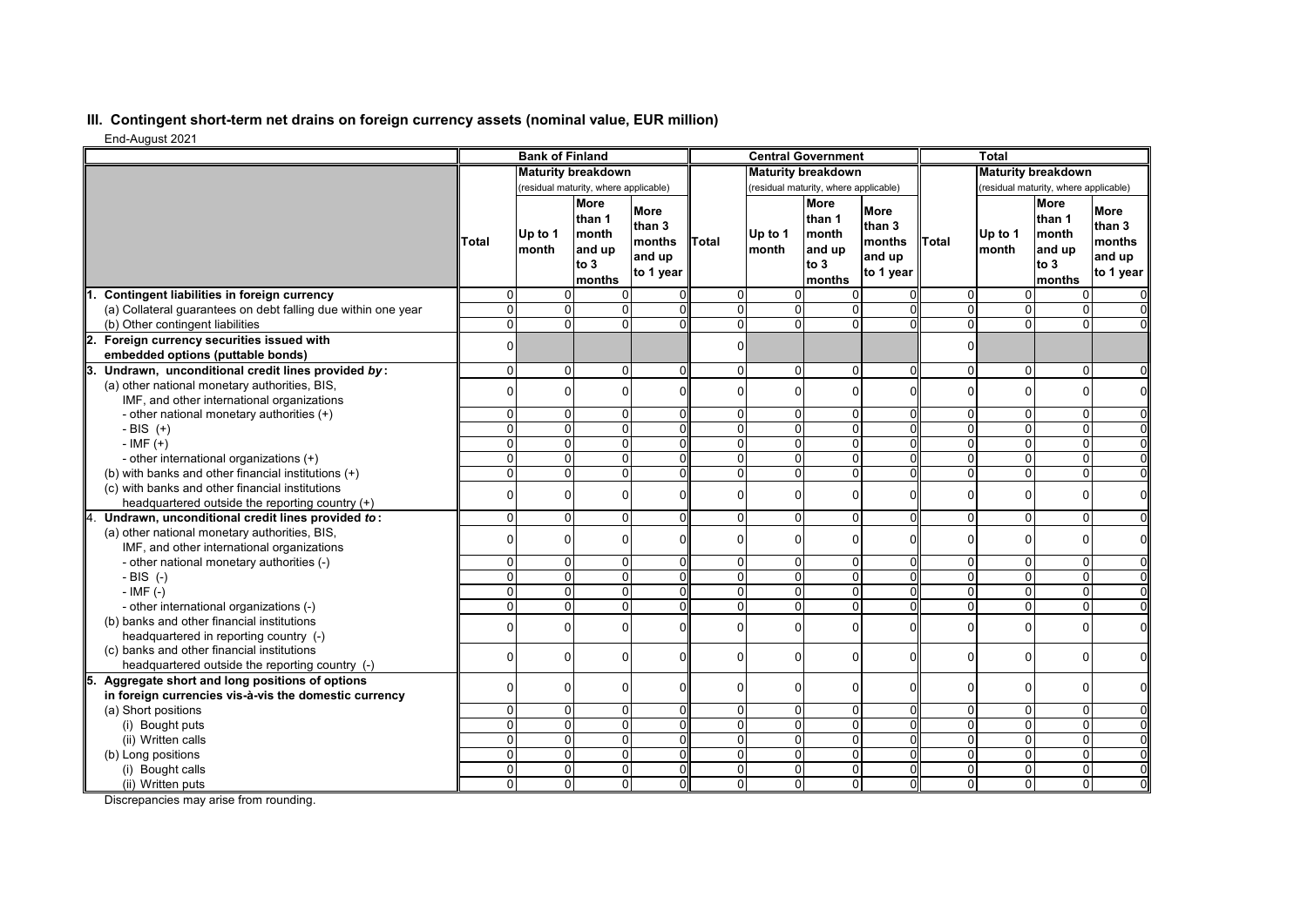## **III. Contingent short-term net drains on foreign currency assets (nominal value, EUR million)**

End-August 2021

| Liiu-Auyusi 2021                                                                                   |                           | <b>Bank of Finland</b>                |                                                            |                                                        |                           |                                       | <b>Central Government</b>                                  |                                                        |                                       | <b>Total</b>                     |                                                            |                                                        |
|----------------------------------------------------------------------------------------------------|---------------------------|---------------------------------------|------------------------------------------------------------|--------------------------------------------------------|---------------------------|---------------------------------------|------------------------------------------------------------|--------------------------------------------------------|---------------------------------------|----------------------------------|------------------------------------------------------------|--------------------------------------------------------|
|                                                                                                    | <b>Maturity breakdown</b> |                                       |                                                            |                                                        | <b>Maturity breakdown</b> |                                       |                                                            | <b>Maturity breakdown</b>                              |                                       |                                  |                                                            |                                                        |
|                                                                                                    |                           | (residual maturity, where applicable) |                                                            |                                                        |                           | (residual maturity, where applicable) |                                                            |                                                        | (residual maturity, where applicable) |                                  |                                                            |                                                        |
|                                                                                                    | Total                     | Up to 1<br>month                      | <b>More</b><br>than 1<br>month<br>and up<br>to 3<br>months | <b>More</b><br>than 3<br>months<br>and up<br>to 1 year | Total                     | Up to 1<br>month                      | <b>More</b><br>than 1<br>month<br>and up<br>to 3<br>months | <b>More</b><br>than 3<br>months<br>and up<br>to 1 year | <b>Total</b>                          | Up to 1<br>month                 | <b>More</b><br>than 1<br>month<br>and up<br>to 3<br>months | <b>More</b><br>than 3<br>months<br>and up<br>to 1 year |
| Contingent liabilities in foreign currency                                                         | $\Omega$                  | $\Omega$                              | $\Omega$                                                   |                                                        | $\Omega$                  | $\Omega$                              |                                                            |                                                        | $\overline{0}$                        | 0                                | 0                                                          |                                                        |
| (a) Collateral guarantees on debt falling due within one year                                      | $\Omega$                  | $\Omega$                              | $\Omega$                                                   |                                                        | 0                         | $\Omega$                              | 0                                                          |                                                        | $\Omega$                              | $\overline{0}$                   | $\mathbf 0$                                                |                                                        |
| (b) Other contingent liabilities                                                                   | $\Omega$                  | $\overline{0}$                        | $\Omega$                                                   | U                                                      | $\overline{0}$            | $\overline{0}$                        | 0                                                          |                                                        | $\overline{0}$                        | $\overline{0}$                   | $\mathbf 0$                                                |                                                        |
| Foreign currency securities issued with<br>2.<br>embedded options (puttable bonds)                 | $\Omega$                  |                                       |                                                            |                                                        | $\mathbf{0}$              |                                       |                                                            |                                                        | $\overline{0}$                        |                                  |                                                            |                                                        |
| Undrawn, unconditional credit lines provided by:<br>З.                                             | $\Omega$                  | $\Omega$                              | $\Omega$                                                   | $\Omega$                                               | $\Omega$                  | $\Omega$                              | $\Omega$                                                   | $\Omega$                                               | $\overline{0}$                        | 0                                | $\mathbf 0$                                                | $\Omega$                                               |
| (a) other national monetary authorities, BIS,                                                      | $\Omega$                  | $\Omega$                              | $\Omega$                                                   | $\Omega$                                               | $\Omega$                  | $\Omega$                              | $\Omega$                                                   | 0                                                      | $\Omega$                              | 0                                | 0                                                          | $\mathbf 0$                                            |
| IMF, and other international organizations                                                         |                           |                                       |                                                            |                                                        |                           |                                       |                                                            |                                                        |                                       |                                  |                                                            |                                                        |
| - other national monetary authorities (+)                                                          | $\Omega$                  | $\Omega$                              | $\Omega$                                                   | U                                                      | $\overline{0}$            | $\overline{0}$                        | 0                                                          | U                                                      | $\overline{0}$                        | 0                                | 0                                                          | 0                                                      |
| $-BIS (+)$                                                                                         | $\Omega$                  | $\overline{0}$                        | $\overline{0}$                                             | $\Omega$                                               | $\overline{0}$            | $\overline{0}$                        | 0                                                          | 0                                                      | $\overline{0}$                        | $\overline{0}$                   | 0                                                          | $\mathbf 0$                                            |
| $-IMF (+)$                                                                                         | $\Omega$                  | $\Omega$                              | $\overline{0}$                                             | $\Omega$<br>$\Omega$                                   | $\Omega$                  | $\mathbf 0$                           | $\Omega$                                                   | $\Omega$<br>O                                          | $\overline{0}$                        | $\overline{0}$                   | $\overline{0}$                                             | $\overline{0}$                                         |
| - other international organizations (+)                                                            | $\Omega$<br>$\Omega$      | $\Omega$<br>$\Omega$                  | $\Omega$<br>$\Omega$                                       |                                                        | $\overline{0}$            | $\overline{0}$                        | 0                                                          | 0                                                      | $\overline{0}$                        | $\overline{0}$<br>$\overline{0}$ | 0                                                          | $\Omega$                                               |
| (b) with banks and other financial institutions (+)                                                |                           |                                       |                                                            | $\Omega$                                               | $\overline{0}$            | $\overline{0}$                        | 0                                                          |                                                        | $\overline{0}$                        |                                  | $\mathbf 0$                                                | $\mathbf 0$                                            |
| (c) with banks and other financial institutions<br>headquartered outside the reporting country (+) | $\Omega$                  | $\Omega$                              | $\Omega$                                                   | $\Omega$                                               | $\Omega$                  | $\Omega$                              | $\Omega$                                                   | $\Omega$                                               | $\overline{0}$                        | 0                                | $\mathbf 0$                                                | $\Omega$                                               |
| Undrawn, unconditional credit lines provided to:<br>4.                                             | $\Omega$                  | $\overline{0}$                        | $\Omega$                                                   | $\Omega$                                               | $\Omega$                  | $\Omega$                              | $\Omega$                                                   | $\Omega$                                               | $\overline{0}$                        | 0                                | 0                                                          | $\Omega$                                               |
| (a) other national monetary authorities, BIS,                                                      |                           |                                       |                                                            |                                                        |                           |                                       |                                                            |                                                        |                                       |                                  |                                                            |                                                        |
| IMF, and other international organizations                                                         | $\Omega$                  | $\Omega$                              | $\Omega$                                                   | $\Omega$                                               | $\Omega$                  | $\Omega$                              | 0                                                          | 0                                                      | $\overline{0}$                        | 0                                | $\mathbf 0$                                                | $\mathbf 0$                                            |
| - other national monetary authorities (-)                                                          | $\Omega$                  | $\Omega$                              | $\Omega$                                                   | n                                                      | 0                         | $\overline{0}$                        | 0                                                          | 0                                                      | $\overline{0}$                        | 0                                | $\mathbf 0$                                                | 0                                                      |
| $-BIS$ (-)                                                                                         | $\Omega$                  | $\overline{0}$                        | $\overline{0}$                                             | $\Omega$                                               | $\mathbf{0}$              | $\mathbf 0$                           | 0                                                          | $\Omega$                                               | $\overline{0}$                        | $\overline{0}$                   | 0                                                          | $\mathbf 0$                                            |
| $-IMF(-)$                                                                                          | $\Omega$                  | $\Omega$                              | $\overline{0}$                                             | $\Omega$                                               | $\Omega$                  | $\Omega$                              | 0                                                          | $\Omega$                                               | $\overline{\mathbf{0}}$               | $\overline{0}$                   | $\overline{0}$                                             | $\overline{0}$                                         |
| - other international organizations (-)                                                            | $\Omega$                  | $\overline{0}$                        | $\Omega$                                                   | $\Omega$                                               | $\overline{0}$            | $\overline{0}$                        | 0                                                          | 0                                                      | $\overline{0}$                        | $\overline{0}$                   | 0                                                          | $\mathbf 0$                                            |
| (b) banks and other financial institutions<br>headquartered in reporting country (-)               | $\Omega$                  | $\Omega$                              | $\Omega$                                                   | $\Omega$                                               | $\Omega$                  | $\Omega$                              | 0                                                          | 0                                                      | $\overline{0}$                        | 0                                | $\mathbf 0$                                                | $\mathbf 0$                                            |
| (c) banks and other financial institutions<br>headquartered outside the reporting country (-)      | $\Omega$                  | $\Omega$                              | $\Omega$                                                   | $\Omega$                                               | 0                         | $\Omega$                              | 0                                                          | U                                                      | $\Omega$                              | 0                                | $\mathbf 0$                                                | $\mathbf 0$                                            |
| Aggregate short and long positions of options<br>5.                                                |                           |                                       |                                                            |                                                        |                           |                                       |                                                            |                                                        |                                       |                                  |                                                            |                                                        |
| in foreign currencies vis-à-vis the domestic currency                                              | $\Omega$                  | $\Omega$                              | $\Omega$                                                   | $\Omega$                                               | 0                         | $\Omega$                              | 0                                                          | U                                                      | $\overline{0}$                        | 0                                | 0                                                          | $\mathbf 0$                                            |
| (a) Short positions                                                                                | $\Omega$                  | $\Omega$                              | $\Omega$                                                   | $\Omega$                                               | $\overline{0}$            | $\overline{0}$                        | 0                                                          | U                                                      | $\overline{0}$                        | $\overline{0}$                   | 0                                                          | $\Omega$                                               |
| (i) Bought puts                                                                                    | $\Omega$                  | $\Omega$                              | $\Omega$                                                   | $\Omega$                                               | $\mathbf{0}$              | $\overline{0}$                        | 0                                                          | $\Omega$                                               | $\overline{0}$                        | $\overline{0}$                   | 0                                                          | $\Omega$                                               |
| (ii) Written calls                                                                                 | $\overline{0}$            | $\overline{0}$                        | $\overline{0}$                                             | O                                                      | 0                         | $\Omega$                              | 0                                                          | 0                                                      | $\overline{0}$                        | $\overline{0}$                   | $\overline{0}$                                             | $\overline{0}$                                         |
| (b) Long positions                                                                                 | $\Omega$                  | $\Omega$                              | $\Omega$                                                   | $\Omega$                                               | $\overline{0}$            | $\Omega$                              | 0                                                          | 0                                                      | $\overline{0}$                        | $\overline{0}$                   | 0                                                          | $\Omega$                                               |
| (i) Bought calls                                                                                   | $\Omega$                  | $\Omega$                              | $\Omega$                                                   | $\Omega$                                               | $\overline{0}$            | $\overline{0}$                        | 0                                                          | $\Omega$                                               | $\overline{0}$                        | $\overline{0}$                   | 0                                                          | $\mathbf 0$                                            |
| (ii) Written puts                                                                                  | $\Omega$                  | $\Omega$                              | $\Omega$                                                   | $\Omega$                                               | $\mathbf 0$               | $\overline{0}$                        | $\overline{0}$                                             | $\Omega$                                               | $\Omega$                              | $\overline{0}$                   | 0                                                          | $\Omega$                                               |

Discrepancies may arise from rounding.